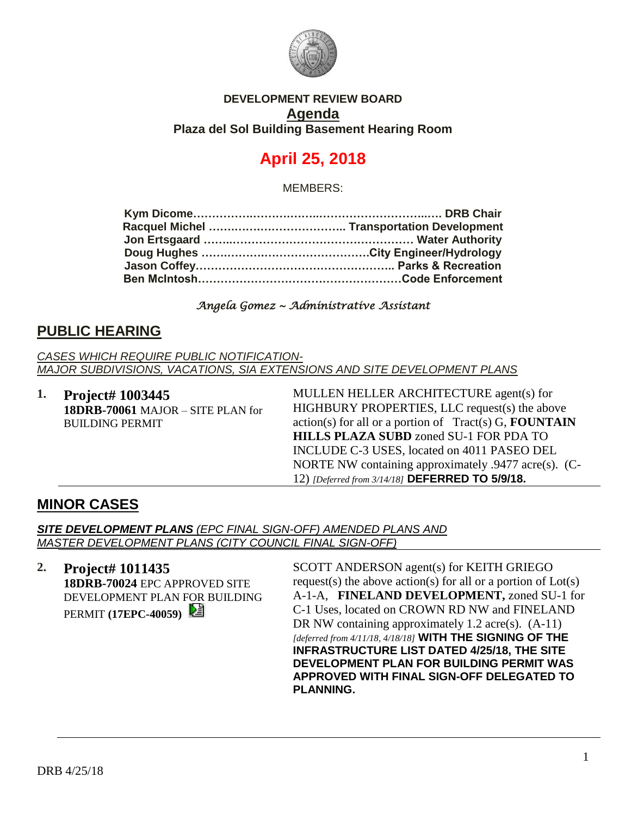

### **DEVELOPMENT REVIEW BOARD Agenda Plaza del Sol Building Basement Hearing Room**

# **April 25, 2018**

MEMBERS:

### *Angela Gomez ~ Administrative Assistant*

### **PUBLIC HEARING**

*CASES WHICH REQUIRE PUBLIC NOTIFICATION-MAJOR SUBDIVISIONS, VACATIONS, SIA EXTENSIONS AND SITE DEVELOPMENT PLANS*

**1. Project# 1003445 18DRB-70061** MAJOR – SITE PLAN for BUILDING PERMIT

MULLEN HELLER ARCHITECTURE agent(s) for HIGHBURY PROPERTIES, LLC request(s) the above action(s) for all or a portion of Tract(s) G, **FOUNTAIN HILLS PLAZA SUBD** zoned SU-1 FOR PDA TO INCLUDE C-3 USES, located on 4011 PASEO DEL NORTE NW containing approximately .9477 acre(s). (C-12) *[Deferred from 3/14/18]* **DEFERRED TO 5/9/18.**

## **MINOR CASES**

*SITE DEVELOPMENT PLANS (EPC FINAL SIGN-OFF) AMENDED PLANS AND MASTER DEVELOPMENT PLANS (CITY COUNCIL FINAL SIGN-OFF)*

**2. Project# 1011435 18DRB-70024** EPC APPROVED SITE DEVELOPMENT PLAN FOR BUILDING PERMIT **(17EPC-40059)** 

SCOTT ANDERSON agent(s) for KEITH GRIEGO request(s) the above action(s) for all or a portion of  $Lot(s)$ A-1-A, **FINELAND DEVELOPMENT,** zoned SU-1 for C-1 Uses, located on CROWN RD NW and FINELAND DR NW containing approximately 1.2 acre(s).  $(A-11)$ *[deferred from 4/11/18, 4/18/18]* **WITH THE SIGNING OF THE INFRASTRUCTURE LIST DATED 4/25/18, THE SITE DEVELOPMENT PLAN FOR BUILDING PERMIT WAS APPROVED WITH FINAL SIGN-OFF DELEGATED TO PLANNING.**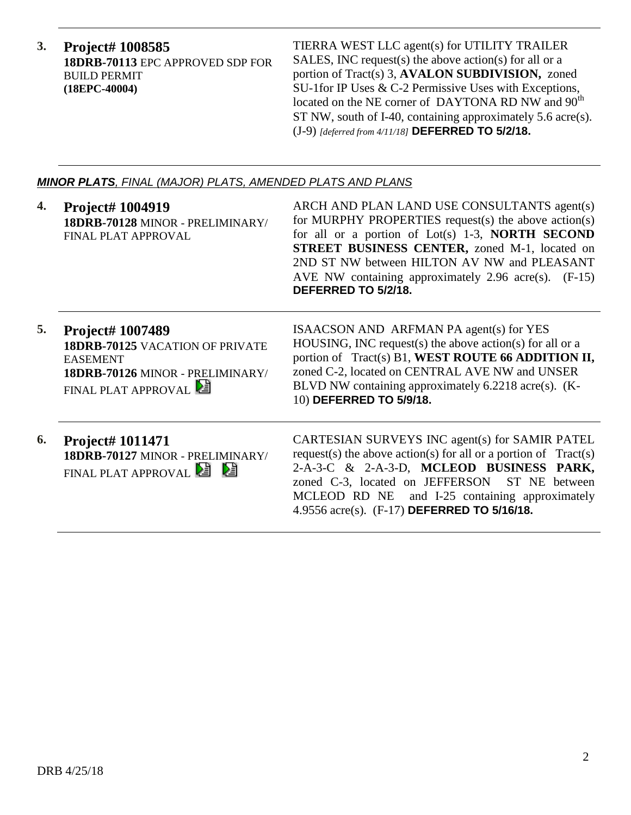**3. Project# 1008585 18DRB-70113** EPC APPROVED SDP FOR BUILD PERMIT **(18EPC-40004)**

TIERRA WEST LLC agent(s) for UTILITY TRAILER SALES, INC request(s) the above action(s) for all or a portion of Tract(s) 3, **AVALON SUBDIVISION,** zoned SU-1for IP Uses & C-2 Permissive Uses with Exceptions, located on the NE corner of DAYTONA RD NW and  $90^{th}$ ST NW, south of I-40, containing approximately 5.6 acre(s). (J-9) *[deferred from 4/11/18]* **DEFERRED TO 5/2/18.**

MCLEOD RD NE and I-25 containing approximately

4.9556 acre(s). (F-17) **DEFERRED TO 5/16/18.**

#### *MINOR PLATS, FINAL (MAJOR) PLATS, AMENDED PLATS AND PLANS*

| 4. | Project# 1004919<br>18DRB-70128 MINOR - PRELIMINARY/<br>FINAL PLAT APPROVAL                                                              | ARCH AND PLAN LAND USE CONSULTANTS agent(s)<br>for MURPHY PROPERTIES request(s) the above action(s)<br>for all or a portion of Lot(s) $1-3$ , <b>NORTH SECOND</b><br>STREET BUSINESS CENTER, zoned M-1, located on<br>2ND ST NW between HILTON AV NW and PLEASANT<br>AVE NW containing approximately 2.96 acre(s). $(F-15)$<br>DEFERRED TO 5/2/18. |
|----|------------------------------------------------------------------------------------------------------------------------------------------|----------------------------------------------------------------------------------------------------------------------------------------------------------------------------------------------------------------------------------------------------------------------------------------------------------------------------------------------------|
| 5. | <b>Project# 1007489</b><br>18DRB-70125 VACATION OF PRIVATE<br><b>EASEMENT</b><br>18DRB-70126 MINOR - PRELIMINARY/<br>FINAL PLAT APPROVAL | ISAACSON AND ARFMAN PA agent(s) for YES<br>HOUSING, INC request(s) the above action(s) for all or a<br>portion of Tract(s) B1, WEST ROUTE 66 ADDITION II,<br>zoned C-2, located on CENTRAL AVE NW and UNSER<br>BLVD NW containing approximately 6.2218 acre(s). (K-<br>10) DEFERRED TO 5/9/18.                                                     |
| 6. | <b>Project# 1011471</b><br>18DRB-70127 MINOR - PRELIMINARY/<br>Dà<br>FINAL PLAT APPROVAL                                                 | CARTESIAN SURVEYS INC agent(s) for SAMIR PATEL<br>request(s) the above action(s) for all or a portion of $Tract(s)$<br>2-A-3-C & 2-A-3-D, MCLEOD BUSINESS PARK,<br>zoned C-3, located on JEFFERSON<br>ST NE between                                                                                                                                |